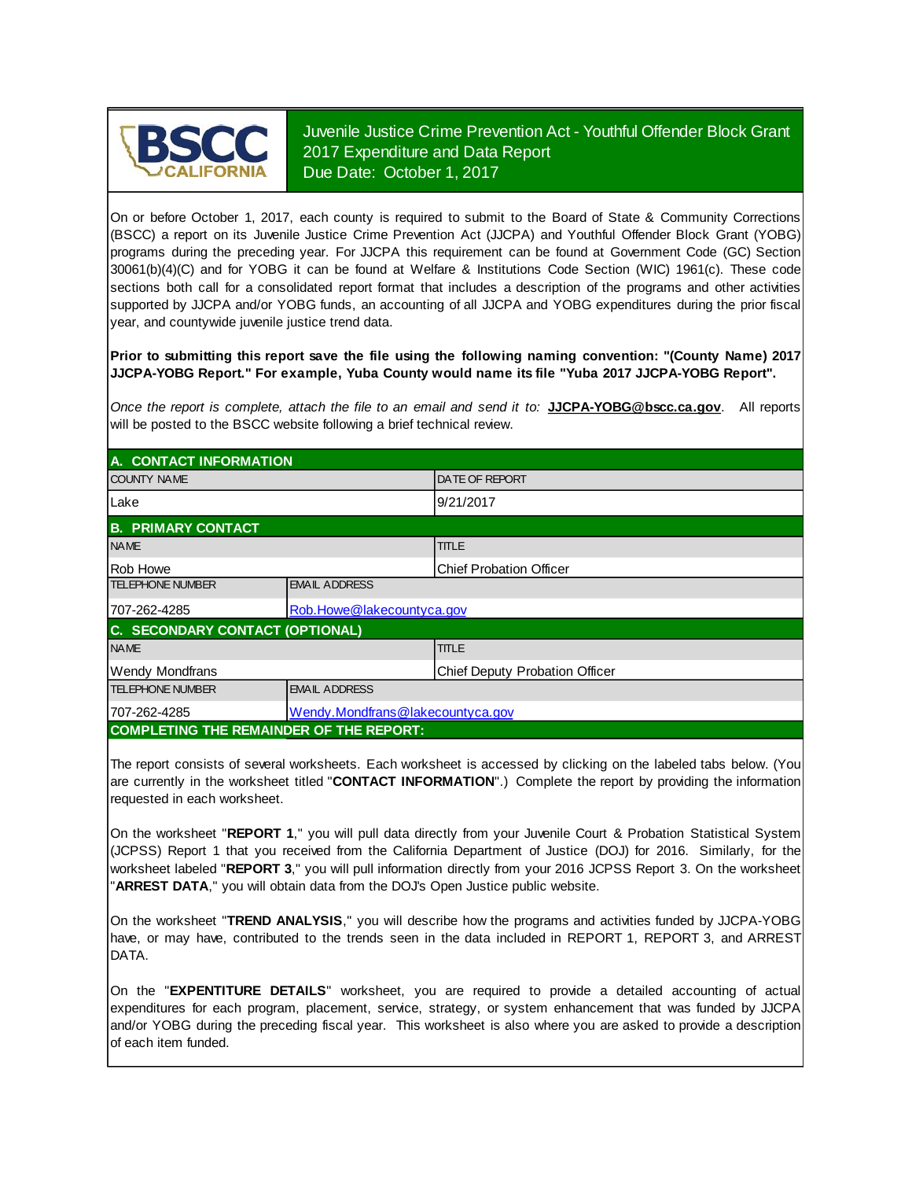

Juvenile Justice Crime Prevention Act - Youthful Offender Block Grant 2017 Expenditure and Data Report Due Date: October 1, 2017

On or before October 1, 2017, each county is required to submit to the Board of State & Community Corrections (BSCC) <sup>a</sup> report on its Juvenile Justice Crime Prevention Act (JJCPA) and Youthful Offender Block Grant (YOBG) programs during the preceding year. For JJCPA this requirement can be found at Government Code (GC) Section 30061(b)(4)(C) and for YOBG it can be found at Welfare & Institutions Code Section (WIC) 1961(c). These code sections both call for <sup>a</sup> consolidated report format that includes <sup>a</sup> description of the programs and other activities supported by JJCPA and/or YOBG funds, an accounting of all JJCPA and YOBG expenditures during the prior fiscal year, and countywide juvenile justice trend data.

**Prior to submitting this report save the file using the following naming convention: "(County Name) 2017 JJCPA-YOBG Report." For example, Yuba County would name its file "Yuba 2017 JJCPA-YOBG Report".**

*Once the report is complete, attach the file t o an email and send it to:* **JJCPA-YOBG@bscc.ca.gov**. All reports will be posted to the BSCC website following a brief technical review.

| A. CONTACT INFORMATION                                   |                                  |                                |  |  |
|----------------------------------------------------------|----------------------------------|--------------------------------|--|--|
| <b>COUNTY NAME</b>                                       |                                  | <b>IDATE OF REPORT</b>         |  |  |
| Lake                                                     |                                  | 9/21/2017                      |  |  |
| <b>B. PRIMARY CONTACT</b>                                |                                  |                                |  |  |
| <b>NAME</b>                                              |                                  | <b>TITLE</b>                   |  |  |
| <b>Rob Howe</b>                                          |                                  | <b>Chief Probation Officer</b> |  |  |
| <b>TELEPHONE NUMBER</b>                                  | <b>EMAIL ADDRESS</b>             |                                |  |  |
| 707-262-4285                                             | Rob.Howe@lakecountyca.gov        |                                |  |  |
| C. SECONDARY CONTACT (OPTIONAL)                          |                                  |                                |  |  |
| <b>NAME</b>                                              |                                  | <b>TITLE</b>                   |  |  |
| <b>Wendy Mondfrans</b><br>Chief Deputy Probation Officer |                                  |                                |  |  |
| <b>TELEPHONE NUMBER</b>                                  | <b>EMAIL ADDRESS</b>             |                                |  |  |
| 707-262-4285                                             | Wendy.Mondfrans@lakecountyca.gov |                                |  |  |
| <b>COMPLETING THE REMAINDER OF THE REPORT:</b>           |                                  |                                |  |  |

The report consists of several worksheets. Each worksheet is accessed by clicking on the labeled tabs below. (You are currently in the worksheet titled "**CONTACT INFORMATION**".) Complete the report by providing the information requested in each worksheet.

On the worksheet "**REPORT 1**, " you will pull data directly from your Juvenile Court & Probation Statistical System (JCPSS) Report 1 that you received from the California Department of Justice (DOJ) for 2016. Similarly, for the worksheet labeled "**REPORT 3**, " you will pull information directly from your 2016 JCPSS Report 3. On the worksheet "**ARREST DATA**," you will obtain data from the DOJ's Open Justice public website.

On the worksheet "**TREND ANALYSIS**, " you will describe how the programs and activities funded by JJCPA-YOBG have, or may have, contributed to the trends seen in the data included in REPORT 1, REPORT 3, and ARREST DATA.

On the "EXPENTITURE DETAILS" worksheet, you are required to provide a detailed accounting of actual expenditures for each program, placement, service, strategy, or system enhancement that was funded by JJCPA and/or YOBG during the preceding fiscal year. This worksheet is also where you are asked to provide a description of each item funded.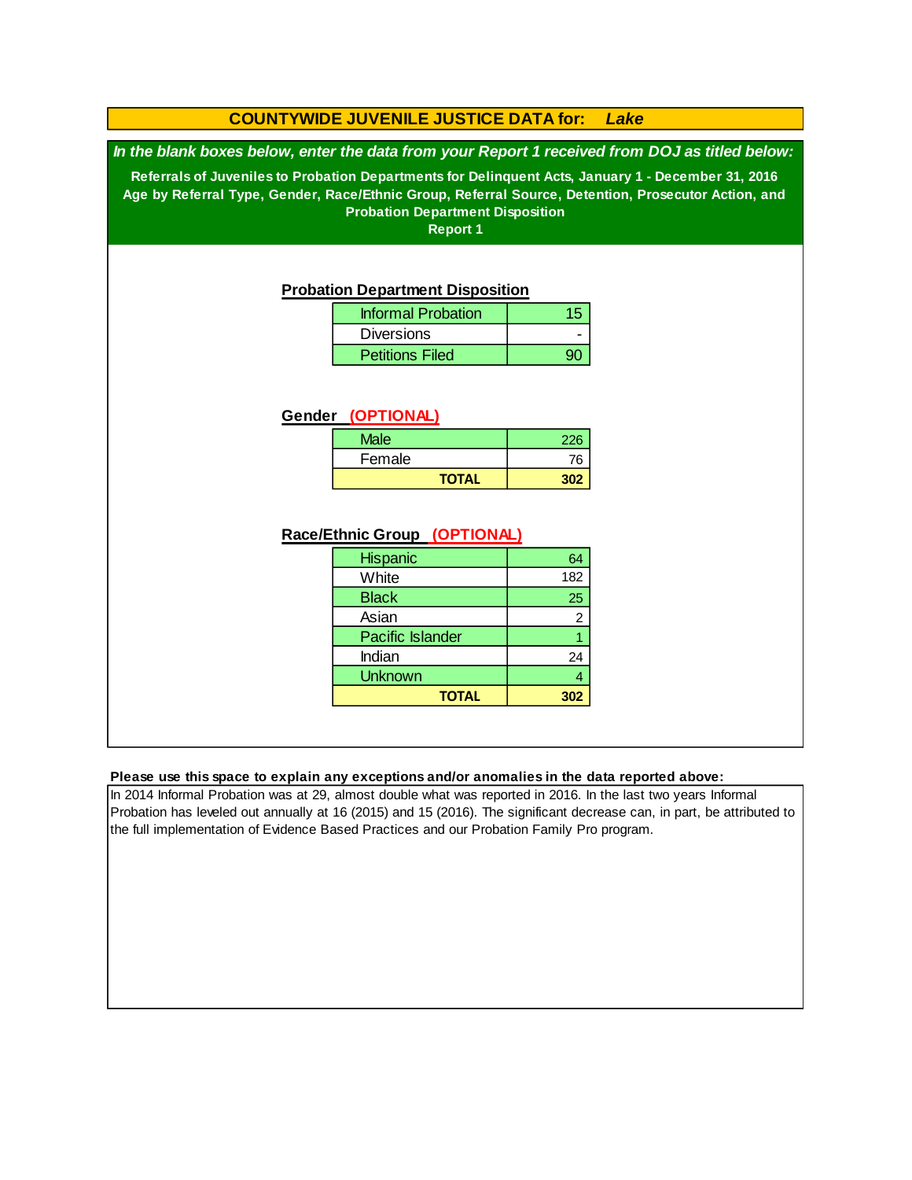#### **COUNTYWIDE JUVENILE JUSTICE DATA for:** *Lake*

*In the blank boxes below, enter the data from your Report 1 received from DOJ as titled below:*

**Referrals of Juveniles to Probation Departments for Delinquent Acts, January 1 - December 31, 2016 Age by Referral Type, Gender, Race/Ethnic Group, Referral Source, Detention, Prosecutor Action, and Probation Department Disposition**

**Report 1**

#### **Probation Department Disposition**

| <b>Informal Probation</b> |  |
|---------------------------|--|
| <b>Diversions</b>         |  |
| <b>Petitions Filed</b>    |  |

#### **Gender (OPTIONAL)**

| <b>Male</b>  | 226 |
|--------------|-----|
| Female       | 76  |
| <b>TOTAL</b> | 302 |

#### **Race/Ethnic Group (OPTIONAL)**

| <b>Hispanic</b>         | 64  |
|-------------------------|-----|
| White                   | 182 |
| <b>Black</b>            | 25  |
| Asian                   | 2   |
| <b>Pacific Islander</b> |     |
| Indian                  | 24  |
| <b>Unknown</b>          | 4   |
| <b>TOTAL</b>            | 302 |

#### **Please use this space to explain any exceptions and/or anomalies in the data reported above:**

In 2014 Informal Probation was at 29, almost double what was reported in 2016. In the last two years Informal Probation has leveled out annually at 16 (2015) and 15 (2016). The significant decrease can, in part, be attributed to the full implementation of Evidence Based Practices and our Probation Family Pro program.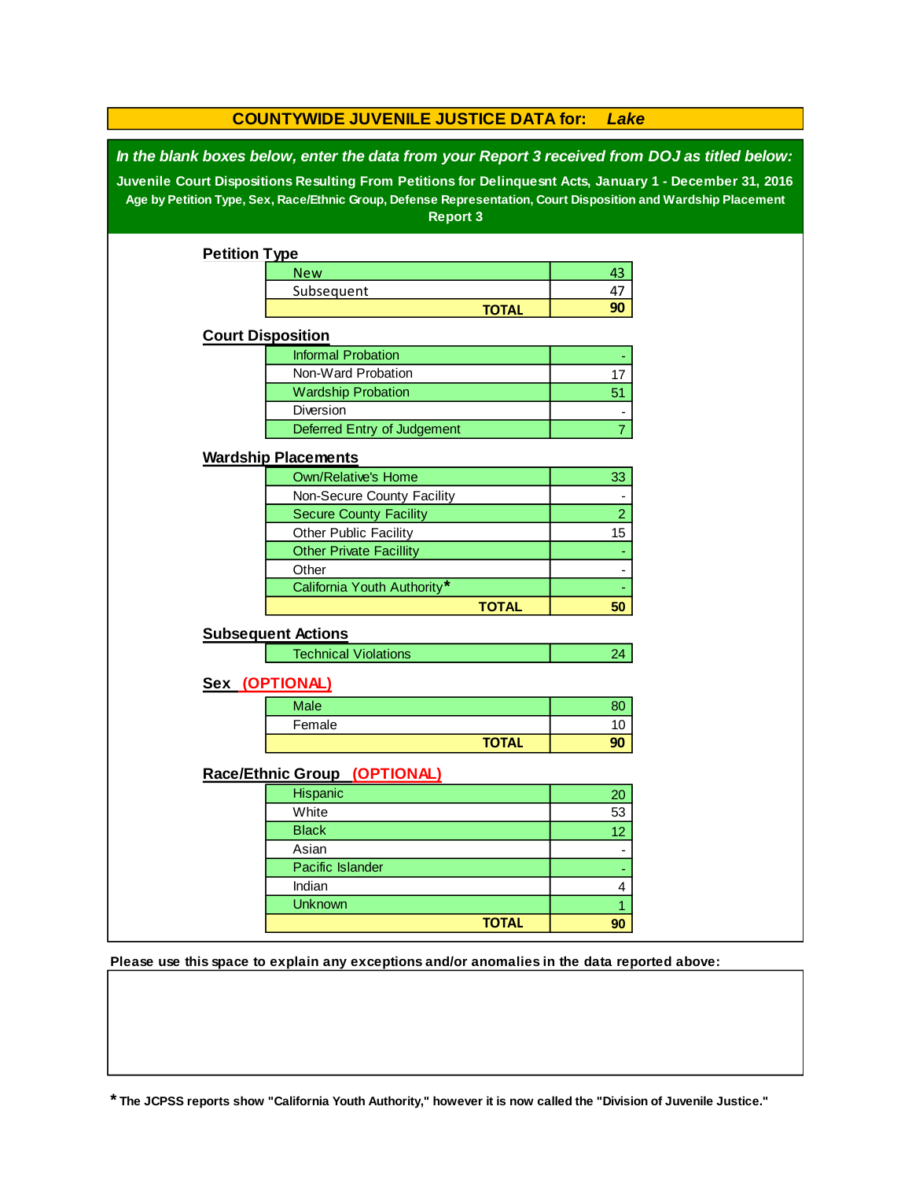| <b>COUNTYWIDE JUVENILE JUSTICE DATA for:</b><br>Lake                                                                                                                                                                                                                                                                                     |                                |              |                |  |
|------------------------------------------------------------------------------------------------------------------------------------------------------------------------------------------------------------------------------------------------------------------------------------------------------------------------------------------|--------------------------------|--------------|----------------|--|
| In the blank boxes below, enter the data from your Report 3 received from DOJ as titled below:<br>Juvenile Court Dispositions Resulting From Petitions for Delinquesnt Acts, January 1 - December 31, 2016<br>Age by Petition Type, Sex, Race/Ethnic Group, Defense Representation, Court Disposition and Wardship Placement<br>Report 3 |                                |              |                |  |
| <b>Petition Type</b>                                                                                                                                                                                                                                                                                                                     |                                |              |                |  |
|                                                                                                                                                                                                                                                                                                                                          | <b>New</b>                     |              | 43             |  |
|                                                                                                                                                                                                                                                                                                                                          | Subsequent                     |              | 47             |  |
|                                                                                                                                                                                                                                                                                                                                          |                                | <b>TOTAL</b> | 90             |  |
|                                                                                                                                                                                                                                                                                                                                          | <b>Court Disposition</b>       |              |                |  |
|                                                                                                                                                                                                                                                                                                                                          | <b>Informal Probation</b>      |              |                |  |
|                                                                                                                                                                                                                                                                                                                                          | Non-Ward Probation             |              | 17             |  |
|                                                                                                                                                                                                                                                                                                                                          | <b>Wardship Probation</b>      |              | 51             |  |
|                                                                                                                                                                                                                                                                                                                                          | Diversion                      |              |                |  |
|                                                                                                                                                                                                                                                                                                                                          | Deferred Entry of Judgement    |              | $\overline{7}$ |  |
|                                                                                                                                                                                                                                                                                                                                          | <b>Wardship Placements</b>     |              |                |  |
|                                                                                                                                                                                                                                                                                                                                          | <b>Own/Relative's Home</b>     |              | 33             |  |
|                                                                                                                                                                                                                                                                                                                                          | Non-Secure County Facility     |              |                |  |
|                                                                                                                                                                                                                                                                                                                                          | <b>Secure County Facility</b>  |              | $\overline{2}$ |  |
|                                                                                                                                                                                                                                                                                                                                          | Other Public Facility          |              | 15             |  |
|                                                                                                                                                                                                                                                                                                                                          | <b>Other Private Facillity</b> |              |                |  |
|                                                                                                                                                                                                                                                                                                                                          | Other                          |              |                |  |
|                                                                                                                                                                                                                                                                                                                                          | California Youth Authority*    |              |                |  |
|                                                                                                                                                                                                                                                                                                                                          |                                | <b>TOTAL</b> | 50             |  |
|                                                                                                                                                                                                                                                                                                                                          | <b>Subsequent Actions</b>      |              |                |  |
|                                                                                                                                                                                                                                                                                                                                          | <b>Technical Violations</b>    |              | 24             |  |
|                                                                                                                                                                                                                                                                                                                                          |                                |              |                |  |
|                                                                                                                                                                                                                                                                                                                                          | Sex (OPTIONAL)                 |              |                |  |
|                                                                                                                                                                                                                                                                                                                                          | Male                           |              | 80             |  |
|                                                                                                                                                                                                                                                                                                                                          | Female                         |              | 10             |  |
|                                                                                                                                                                                                                                                                                                                                          |                                | <b>TOTAL</b> | 90             |  |
|                                                                                                                                                                                                                                                                                                                                          | Race/Ethnic Group (OPTIONAL)   |              |                |  |
|                                                                                                                                                                                                                                                                                                                                          | Hispanic                       |              | 20             |  |
|                                                                                                                                                                                                                                                                                                                                          | White                          |              | 53             |  |
|                                                                                                                                                                                                                                                                                                                                          | <b>Black</b>                   |              | 12             |  |
|                                                                                                                                                                                                                                                                                                                                          | Asian                          |              |                |  |
|                                                                                                                                                                                                                                                                                                                                          | Pacific Islander               |              |                |  |
|                                                                                                                                                                                                                                                                                                                                          | Indian                         |              | 4              |  |
|                                                                                                                                                                                                                                                                                                                                          | <b>Unknown</b>                 |              | 1              |  |
|                                                                                                                                                                                                                                                                                                                                          |                                | <b>TOTAL</b> | 90             |  |

**Please use this space to explain any exceptions and/or anomalies in the data reported above:** 

**\* The JCPSS reports show "California Youth Authority," however it is now called the "Division of Juvenile Justice."**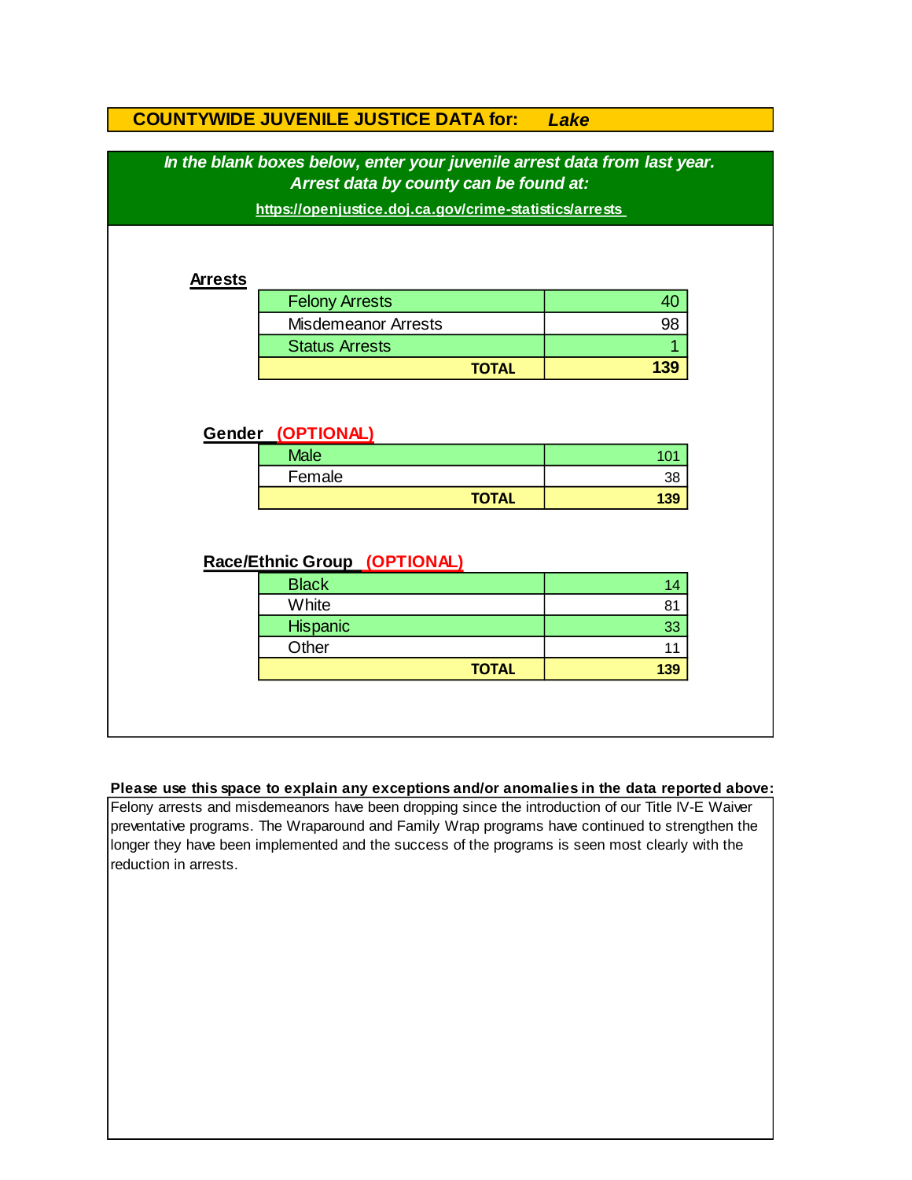|                                                                                                                     | <b>COUNTYWIDE JUVENILE JUSTICE DATA for:</b>            | Lake           |  |  |
|---------------------------------------------------------------------------------------------------------------------|---------------------------------------------------------|----------------|--|--|
| In the blank boxes below, enter your juvenile arrest data from last year.<br>Arrest data by county can be found at: |                                                         |                |  |  |
|                                                                                                                     | https://openjustice.doj.ca.gov/crime-statistics/arrests |                |  |  |
|                                                                                                                     |                                                         |                |  |  |
| <b>Arrests</b>                                                                                                      |                                                         |                |  |  |
|                                                                                                                     | <b>Felony Arrests</b>                                   | 40             |  |  |
|                                                                                                                     | <b>Misdemeanor Arrests</b>                              | 98             |  |  |
|                                                                                                                     | <b>Status Arrests</b>                                   | $\overline{1}$ |  |  |
|                                                                                                                     | <b>TOTAL</b>                                            | 139            |  |  |
|                                                                                                                     | Gender (OPTIONAL)<br><b>Male</b>                        | 101            |  |  |
|                                                                                                                     | Female                                                  | 38             |  |  |
|                                                                                                                     | <b>TOTAL</b>                                            | 139            |  |  |
|                                                                                                                     | Race/Ethnic Group (OPTIONAL)<br><b>Black</b>            |                |  |  |
|                                                                                                                     |                                                         | 14<br>81       |  |  |
|                                                                                                                     |                                                         |                |  |  |
|                                                                                                                     | White                                                   |                |  |  |
|                                                                                                                     | Hispanic                                                | 33             |  |  |
|                                                                                                                     | Other<br><b>TOTAL</b>                                   | 11<br>139      |  |  |

**Please use this space to explain any exceptions and/or anomalies in the data reported above:**  Felony arrests and misdemeanors have been dropping since the introduction of our Title IV-E Waiver

preventative programs. The Wraparound and Family Wrap programs have continued to strengthen the longer they have been implemented and the success of the programs is seen most clearly with the reduction in arrests.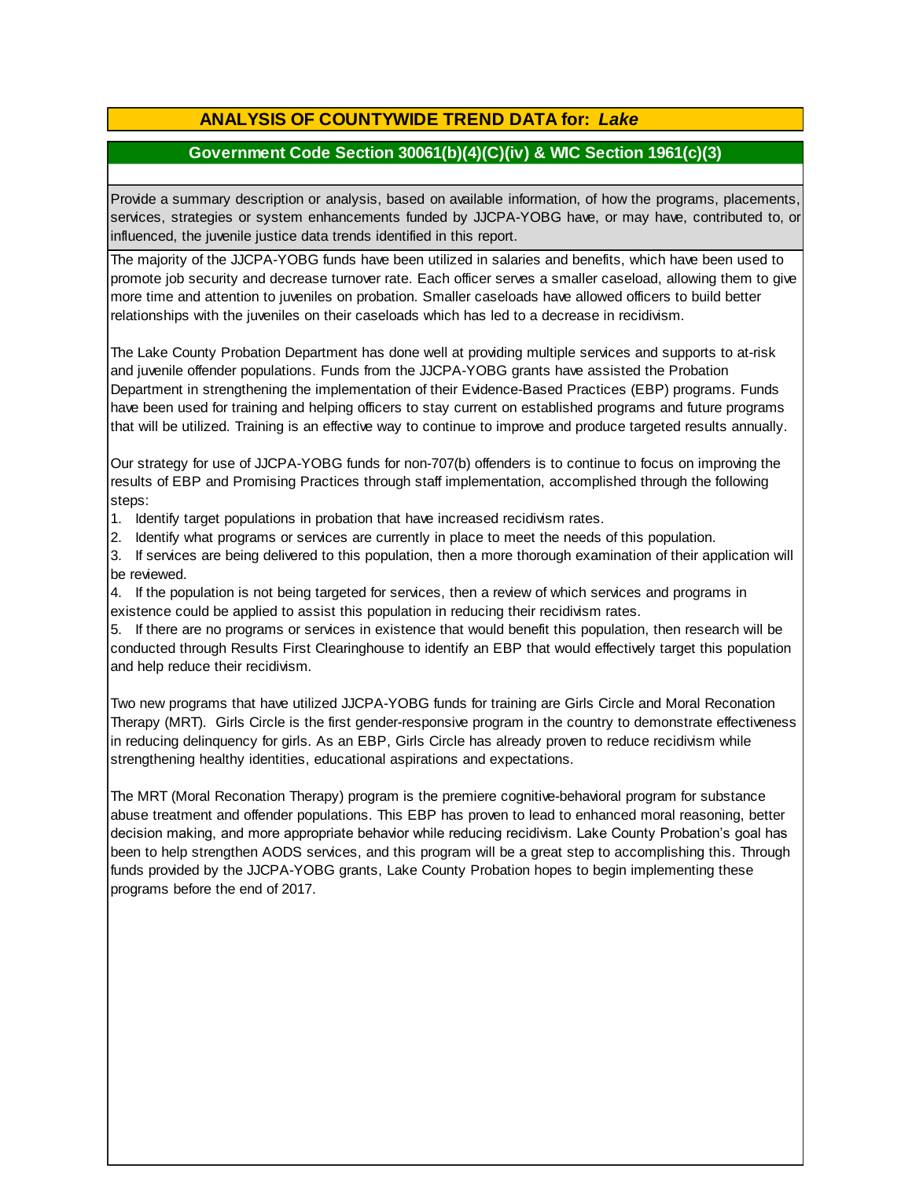# **ANALYSIS OF COUNTYWIDE TREND DATA for:** *Lake*

### **Government Code Section 30061(b)(4)(C)(iv) & WIC Section 1961(c)(3)**

Provide <sup>a</sup> summary description or analysis, based on available information, of how the programs, placements, services, strategies or system enhancements funded by JJCPA-YOBG have, or may have, contributed to, or influenced, the juvenile justice data trends identified in this report.

The majority of the JJCPA-YOBG funds have been utilized in salaries and benefits, which have been used to promote job security and decrease turnover rate. Each officer serves a smaller caseload, allowing them to give more time and attention to juveniles on probation. Smaller caseloads have allowed officers to build better relationships with the juveniles on their caseloads which has led to a decrease in recidivism.

The Lake County Probation Department has done well at providing multiple services and supports to at-risk and juvenile offender populations. Funds from the JJCPA-YOBG grants have assisted the Probation Department in strengthening the implementation of their Evidence-Based Practices (EBP) programs. Funds have been used for training and helping officers to stay current on established programs and future programs that will be utilized. Training is an effective way to continue to improve and produce targeted results annually.

Our strategy for use of JJCPA-YOBG funds for non-707(b) offenders is to continue to focus on improving the results of EBP and Promising Practices through staff implementation, accomplished through the following steps:

1. Identify target populations in probation that have increased recidivism rates.

2. Identify what programs or services are currently in place to meet the needs of this population.

3. If services are being delivered to this population, then a more thorough examination of their application will be reviewed.

4. If the population is not being targeted for services, then a review of which services and programs in existence could be applied to assist this population in reducing their recidivism rates.

5. If there are no programs or services in existence that would benefit this population, then research will be conducted through Results First Clearinghouse to identify an EBP that would effectively target this population and help reduce their recidivism.

Two new programs that have utilized JJCPA-YOBG funds for training are Girls Circle and Moral Reconation Therapy (MRT). Girls Circle is the first gender-responsive program in the country to demonstrate effectiveness in reducing delinquency for girls. As an EBP, Girls Circle has already proven to reduce recidivism while strengthening healthy identities, educational aspirations and expectations.

The MRT (Moral Reconation Therapy) program is the premiere cognitive-behavioral program for substance abuse treatment and offender populations. This EBP has proven to lead to enhanced moral reasoning, better decision making, and more appropriate behavior while reducing recidivism. Lake County Probation's goal has been to help strengthen AODS services, and this program will be a great step to accomplishing this. Through funds provided by the JJCPA-YOBG grants, Lake County Probation hopes to begin implementing these programs before the end of 2017.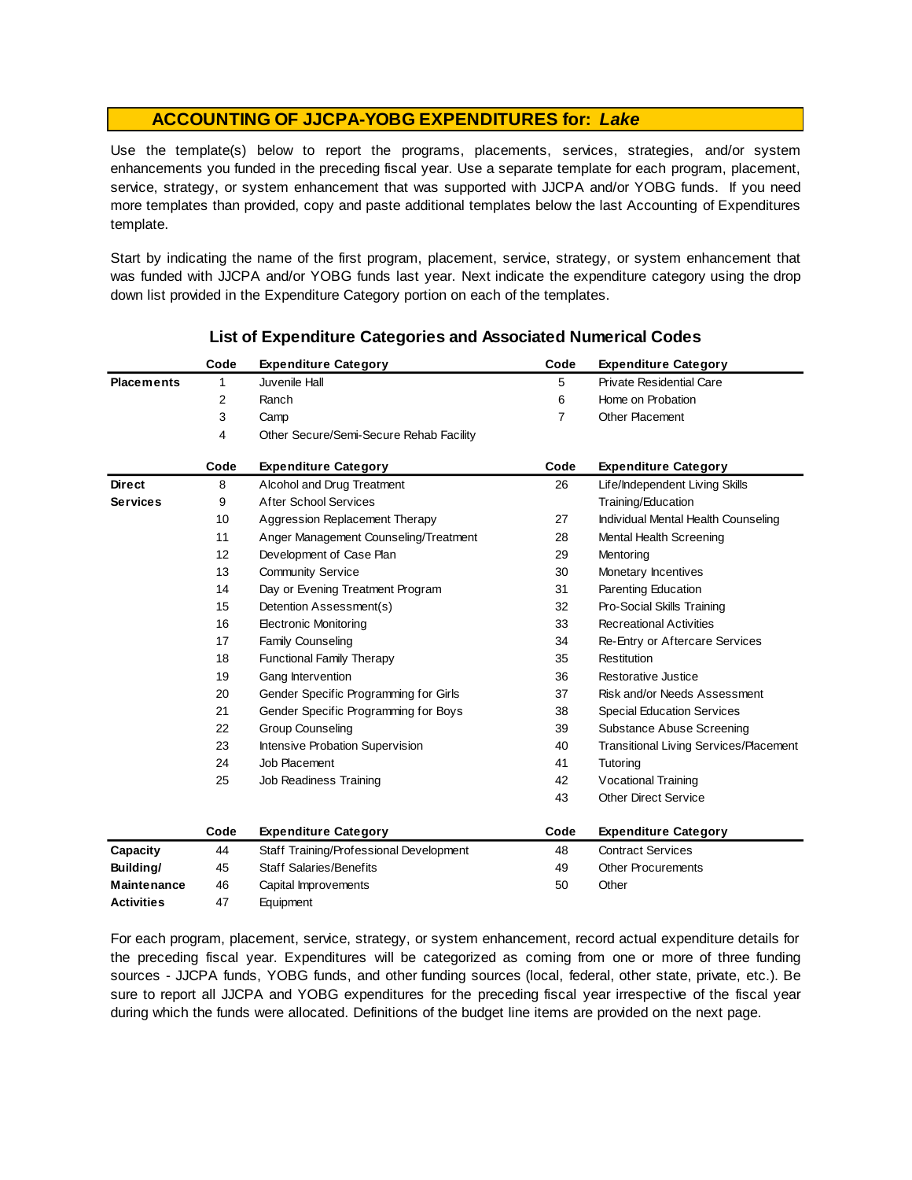Use the template(s) below to report the programs, placements, services, strategies, and/or system enhancements you funded in the preceding fiscal year. Use <sup>a</sup> separate template for each program, placement, service, strategy, or system enhancement that was supported with JJCPA and/or YOBG funds. If you need more templates than provided, copy and paste additional templates below the last Accounting of Expenditures template.

Start by indicating the name of the first program, placement, service, strategy, or system enhancement that was funded with JJCPA and/or YOBG funds last year. Next indicate the expenditure category using the drop down list provided in the Expenditure Category portion on each of the templates.

|                    | Code | <b>Expenditure Category</b>             | Code           | <b>Expenditure Category</b>                   |
|--------------------|------|-----------------------------------------|----------------|-----------------------------------------------|
| <b>Placements</b>  | 1    | Juvenile Hall                           | 5              | <b>Private Residential Care</b>               |
|                    | 2    | Ranch                                   | 6              | Home on Probation                             |
|                    | 3    | Camp                                    | $\overline{7}$ | Other Placement                               |
|                    | 4    | Other Secure/Semi-Secure Rehab Facility |                |                                               |
|                    | Code | <b>Expenditure Category</b>             | Code           | <b>Expenditure Category</b>                   |
| <b>Direct</b>      | 8    | Alcohol and Drug Treatment              | 26             | Life/Independent Living Skills                |
| <b>Services</b>    | 9    | <b>After School Services</b>            |                | Training/Education                            |
|                    | 10   | Aggression Replacement Therapy          | 27             | Individual Mental Health Counseling           |
|                    | 11   | Anger Management Counseling/Treatment   | 28             | Mental Health Screening                       |
|                    | 12   | Development of Case Plan                | 29             | Mentoring                                     |
|                    | 13   | <b>Community Service</b>                | 30             | Monetary Incentives                           |
|                    | 14   | Day or Evening Treatment Program        | 31             | Parenting Education                           |
|                    | 15   | Detention Assessment(s)                 | 32             | Pro-Social Skills Training                    |
|                    | 16   | <b>Electronic Monitoring</b>            | 33             | <b>Recreational Activities</b>                |
|                    | 17   | <b>Family Counseling</b>                | 34             | Re-Entry or Aftercare Services                |
|                    | 18   | <b>Functional Family Therapy</b>        | 35             | Restitution                                   |
|                    | 19   | Gang Intervention                       | 36             | Restorative Justice                           |
|                    | 20   | Gender Specific Programming for Girls   | 37             | Risk and/or Needs Assessment                  |
|                    | 21   | Gender Specific Programming for Boys    | 38             | <b>Special Education Services</b>             |
|                    | 22   | <b>Group Counseling</b>                 | 39             | Substance Abuse Screening                     |
|                    | 23   | Intensive Probation Supervision         | 40             | <b>Transitional Living Services/Placement</b> |
|                    | 24   | Job Placement                           | 41             | Tutoring                                      |
|                    | 25   | Job Readiness Training                  | 42             | Vocational Training                           |
|                    |      |                                         | 43             | <b>Other Direct Service</b>                   |
|                    | Code | <b>Expenditure Category</b>             | Code           | <b>Expenditure Category</b>                   |
| Capacity           | 44   | Staff Training/Professional Development | 48             | <b>Contract Services</b>                      |
| Building/          | 45   | <b>Staff Salaries/Benefits</b>          | 49             | <b>Other Procurements</b>                     |
| <b>Maintenance</b> | 46   | Capital Improvements                    | 50             | Other                                         |
| <b>Activities</b>  | 47   | Equipment                               |                |                                               |

#### **List of Expenditure Categories and Associated Numerical Codes**

For each program, placement, service, strategy, or system enhancement, record actual expenditure details for the preceding fiscal year. Expenditures will be categorized as coming from one or more of three funding sources - JJCPA funds, YOBG funds, and other funding sources (local, federal, other state, private, etc.). Be sure to report all JJCPA and YOBG expenditures for the preceding fiscal year irrespective of the fiscal year during which the funds were allocated. Definitions of the budget line items are provided on the next page.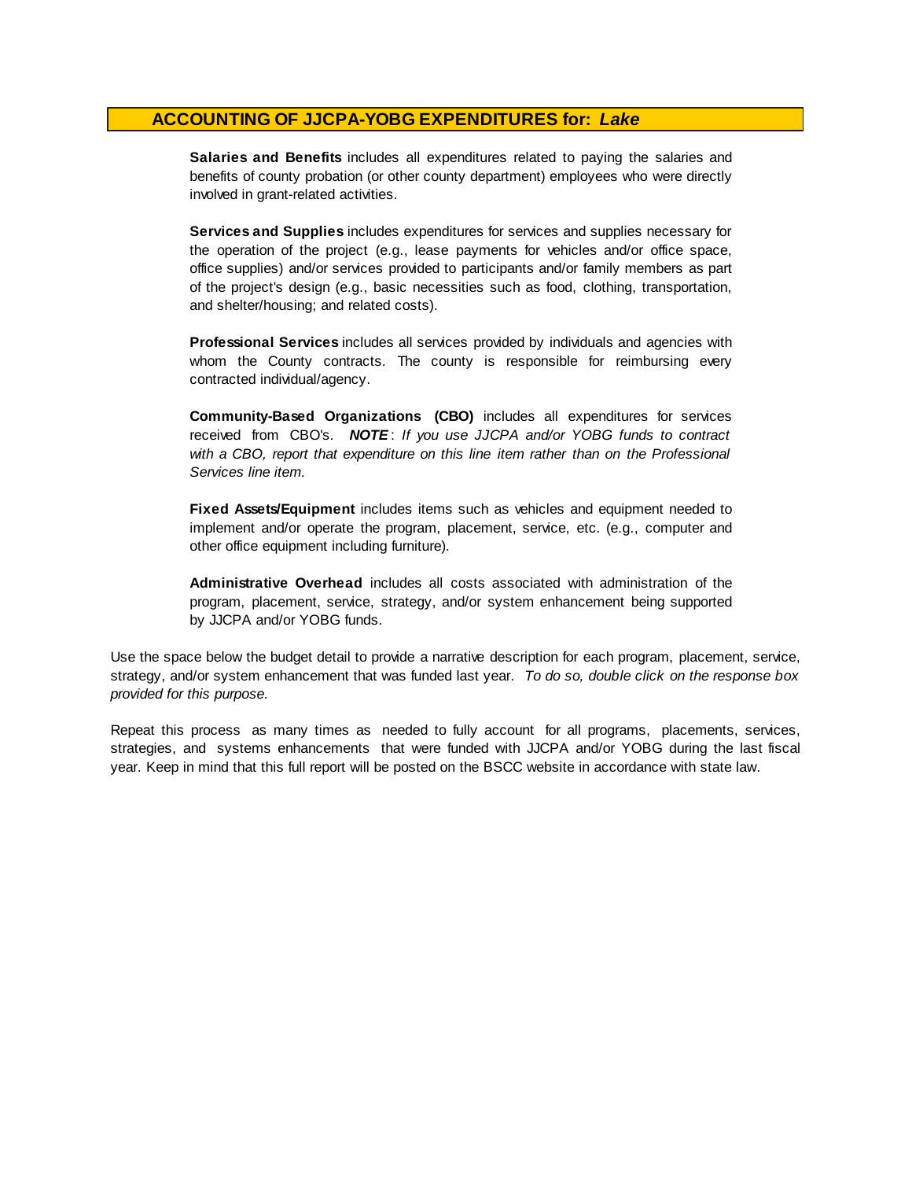**Salaries and Benefits** includes all expenditures related to paying the salaries and benefits of county probation (or other county department) employees who were directly involved in grant-related activities.

**Services and Supplies** includes expenditures for services and supplies necessary for the operation of the project (e.g., lease payments for vehicles and/or office space, office supplies) and/or services provided to participants and/or family members as part of the project's design (e.g., basic necessities such as food, clothing, transportation, and shelter/housing; and related costs).

**Professional Services** includes all services provided by individuals and agencies with whom the County contracts. The county is responsible for reimbursing every contracted individual/agency.

**Community-Based Organizations (CBO)** includes all expenditures for services received from CBO's. *NOTE* : *I f you use JJCPA and/or YOBG funds t o contract with <sup>a</sup> CBO, report that expenditure on this line item rather than on the Professional Services line item.*

**Fixed Assets/Equipment** includes items such as vehicles and equipment needed to implement and/or operate the program, placement, service, etc. (e.g., computer and other office equipment including furniture).

**Administrative Overhead** includes all costs associated with administration of the program, placement, service, strategy, and/or system enhancement being supported by JJCPA and/or YOBG funds.

Use the space below the budget detail to provide a narrative description for each program, placement, service, strategy, and/or system enhancement that was funded last year. *To do so, double click on the response box provided for this purpose.* 

Repeat this process as many times as needed to fully account for all programs, placements, services, strategies, and systems enhancements that were funded with JJCPA and/or YOBG during the last fiscal year. Keep in mind that this full report will be posted on the BSCC website in accordance with state law.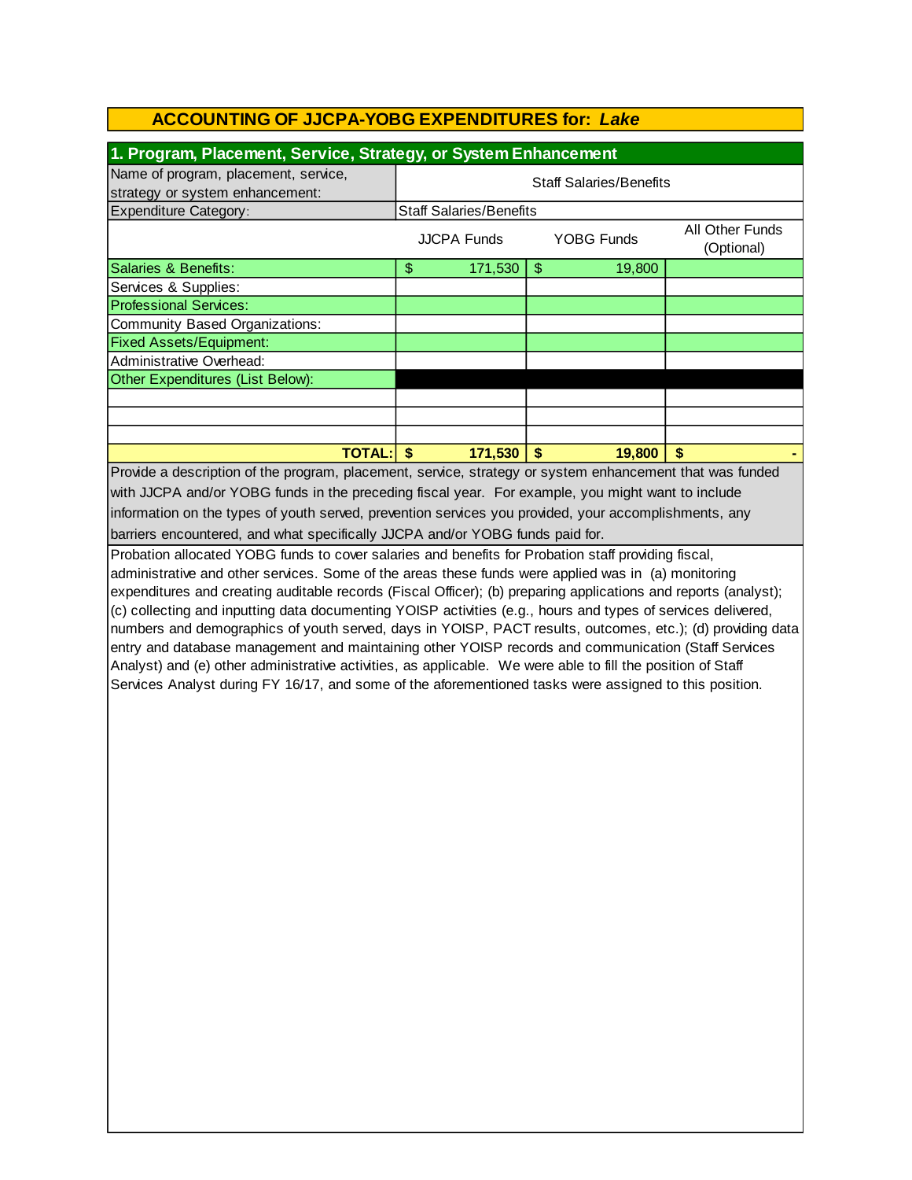| 1. Program, Placement, Service, Strategy, or System Enhancement                                                 |                                         |              |            |        |                               |
|-----------------------------------------------------------------------------------------------------------------|-----------------------------------------|--------------|------------|--------|-------------------------------|
| Name of program, placement, service,                                                                            |                                         |              |            |        |                               |
| strategy or system enhancement:                                                                                 | <b>Staff Salaries/Benefits</b>          |              |            |        |                               |
| <b>Expenditure Category:</b>                                                                                    | <b>Staff Salaries/Benefits</b>          |              |            |        |                               |
|                                                                                                                 | <b>YOBG Funds</b><br><b>JJCPA Funds</b> |              |            |        | All Other Funds<br>(Optional) |
| Salaries & Benefits:                                                                                            | $\boldsymbol{\$}$                       | 171,530      | $\sqrt{3}$ | 19,800 |                               |
| Services & Supplies:                                                                                            |                                         |              |            |        |                               |
| <b>Professional Services:</b>                                                                                   |                                         |              |            |        |                               |
| <b>Community Based Organizations:</b>                                                                           |                                         |              |            |        |                               |
| <b>Fixed Assets/Equipment:</b>                                                                                  |                                         |              |            |        |                               |
| Administrative Overhead:                                                                                        |                                         |              |            |        |                               |
| Other Expenditures (List Below):                                                                                |                                         |              |            |        |                               |
|                                                                                                                 |                                         |              |            |        |                               |
|                                                                                                                 |                                         |              |            |        |                               |
|                                                                                                                 |                                         |              |            |        |                               |
| <b>TOTAL:</b>                                                                                                   | $\sqrt{3}$                              | $171,530$ \$ |            | 19,800 | \$                            |
| Provide a description of the program, placement, service, strategy or system enhancement that was funded        |                                         |              |            |        |                               |
| with JJCPA and/or YOBG funds in the preceding fiscal year. For example, you might want to include               |                                         |              |            |        |                               |
| information on the types of youth served, prevention services you provided, your accomplishments, any           |                                         |              |            |        |                               |
| barriers encountered, and what specifically JJCPA and/or YOBG funds paid for.                                   |                                         |              |            |        |                               |
| Probation allocated YOBG funds to cover salaries and benefits for Probation staff providing fiscal,             |                                         |              |            |        |                               |
| administrative and other services. Some of the areas these funds were applied was in (a) monitoring             |                                         |              |            |        |                               |
| expenditures and creating auditable records (Fiscal Officer); (b) preparing applications and reports (analyst); |                                         |              |            |        |                               |
| (c) collecting and inputting data documenting YOISP activities (e.g., hours and types of services delivered,    |                                         |              |            |        |                               |
| numbers and demographics of youth served, days in YOISP, PACT results, outcomes, etc.); (d) providing data      |                                         |              |            |        |                               |
| entry and database management and maintaining other YOISP records and communication (Staff Services             |                                         |              |            |        |                               |
| Analyst) and (e) other administrative activities, as applicable. We were able to fill the position of Staff     |                                         |              |            |        |                               |
| Services Analyst during FY 16/17, and some of the aforementioned tasks were assigned to this position.          |                                         |              |            |        |                               |
|                                                                                                                 |                                         |              |            |        |                               |
|                                                                                                                 |                                         |              |            |        |                               |
|                                                                                                                 |                                         |              |            |        |                               |
|                                                                                                                 |                                         |              |            |        |                               |
|                                                                                                                 |                                         |              |            |        |                               |
|                                                                                                                 |                                         |              |            |        |                               |
|                                                                                                                 |                                         |              |            |        |                               |
|                                                                                                                 |                                         |              |            |        |                               |
|                                                                                                                 |                                         |              |            |        |                               |
|                                                                                                                 |                                         |              |            |        |                               |
|                                                                                                                 |                                         |              |            |        |                               |
|                                                                                                                 |                                         |              |            |        |                               |
|                                                                                                                 |                                         |              |            |        |                               |
|                                                                                                                 |                                         |              |            |        |                               |
|                                                                                                                 |                                         |              |            |        |                               |
|                                                                                                                 |                                         |              |            |        |                               |
|                                                                                                                 |                                         |              |            |        |                               |
|                                                                                                                 |                                         |              |            |        |                               |
|                                                                                                                 |                                         |              |            |        |                               |
|                                                                                                                 |                                         |              |            |        |                               |
|                                                                                                                 |                                         |              |            |        |                               |
|                                                                                                                 |                                         |              |            |        |                               |
|                                                                                                                 |                                         |              |            |        |                               |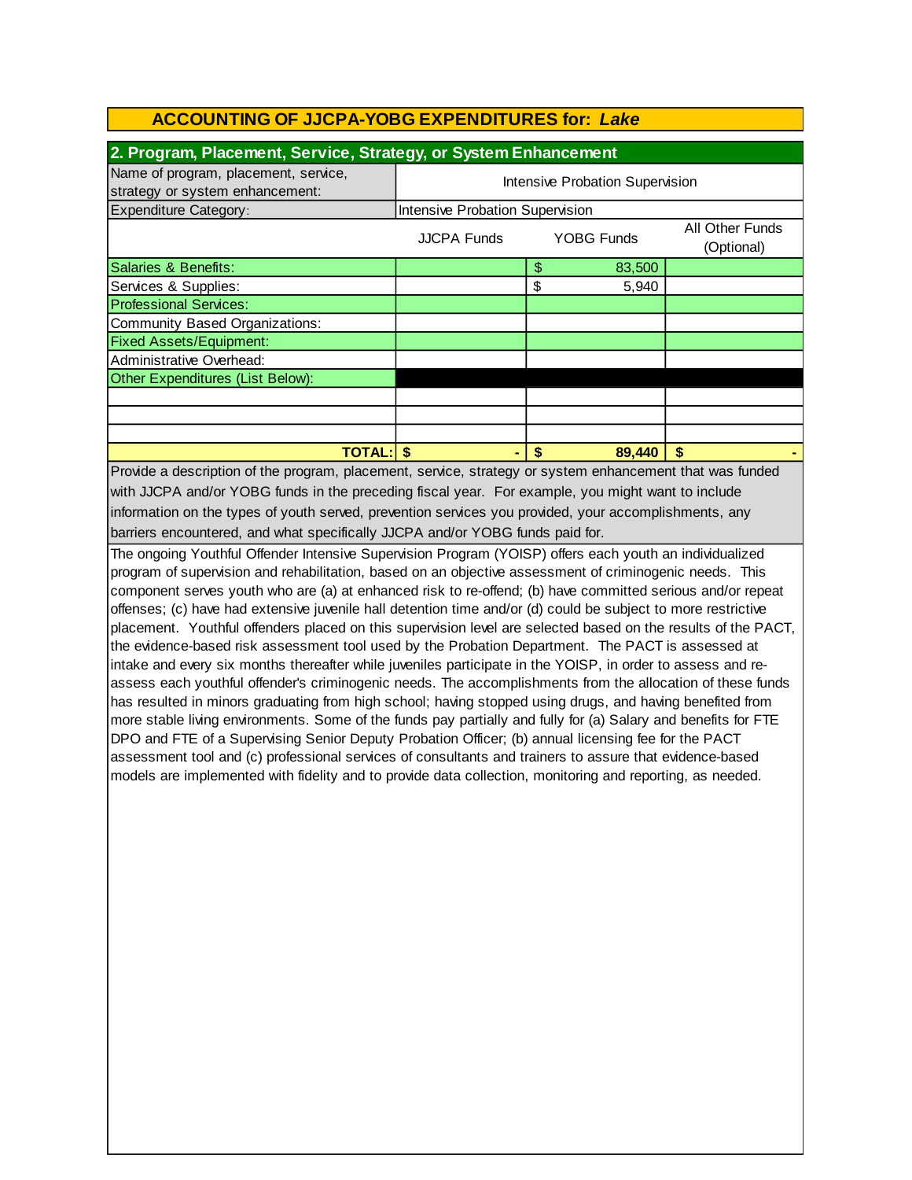| 2. Program, Placement, Service, Strategy, or System Enhancement                                                                                                                                                                      |                                        |                   |        |                               |  |
|--------------------------------------------------------------------------------------------------------------------------------------------------------------------------------------------------------------------------------------|----------------------------------------|-------------------|--------|-------------------------------|--|
| Name of program, placement, service,                                                                                                                                                                                                 | Intensive Probation Supervision        |                   |        |                               |  |
| strategy or system enhancement:                                                                                                                                                                                                      |                                        |                   |        |                               |  |
| <b>Expenditure Category:</b>                                                                                                                                                                                                         | <b>Intensive Probation Supervision</b> |                   |        |                               |  |
|                                                                                                                                                                                                                                      | <b>JJCPA Funds</b>                     | <b>YOBG Funds</b> |        | All Other Funds<br>(Optional) |  |
| Salaries & Benefits:                                                                                                                                                                                                                 |                                        | \$                | 83,500 |                               |  |
| Services & Supplies:                                                                                                                                                                                                                 |                                        | \$                | 5,940  |                               |  |
| <b>Professional Services:</b>                                                                                                                                                                                                        |                                        |                   |        |                               |  |
| Community Based Organizations:                                                                                                                                                                                                       |                                        |                   |        |                               |  |
| <b>Fixed Assets/Equipment:</b>                                                                                                                                                                                                       |                                        |                   |        |                               |  |
| Administrative Overhead:                                                                                                                                                                                                             |                                        |                   |        |                               |  |
| Other Expenditures (List Below):                                                                                                                                                                                                     |                                        |                   |        |                               |  |
|                                                                                                                                                                                                                                      |                                        |                   |        |                               |  |
|                                                                                                                                                                                                                                      |                                        |                   |        |                               |  |
|                                                                                                                                                                                                                                      |                                        |                   |        |                               |  |
| <b>TOTAL: \$</b>                                                                                                                                                                                                                     |                                        | \$                | 89,440 | \$                            |  |
| Provide a description of the program, placement, service, strategy or system enhancement that was funded                                                                                                                             |                                        |                   |        |                               |  |
| with JJCPA and/or YOBG funds in the preceding fiscal year. For example, you might want to include                                                                                                                                    |                                        |                   |        |                               |  |
| information on the types of youth served, prevention services you provided, your accomplishments, any                                                                                                                                |                                        |                   |        |                               |  |
| barriers encountered, and what specifically JJCPA and/or YOBG funds paid for.                                                                                                                                                        |                                        |                   |        |                               |  |
| The ongoing Youthful Offender Intensive Supervision Program (YOISP) offers each youth an individualized                                                                                                                              |                                        |                   |        |                               |  |
| program of supervision and rehabilitation, based on an objective assessment of criminogenic needs. This                                                                                                                              |                                        |                   |        |                               |  |
| component serves youth who are (a) at enhanced risk to re-offend; (b) have committed serious and/or repeat                                                                                                                           |                                        |                   |        |                               |  |
| offenses; (c) have had extensive juvenile hall detention time and/or (d) could be subject to more restrictive                                                                                                                        |                                        |                   |        |                               |  |
| placement. Youthful offenders placed on this supervision level are selected based on the results of the PACT,                                                                                                                        |                                        |                   |        |                               |  |
| the evidence-based risk assessment tool used by the Probation Department. The PACT is assessed at                                                                                                                                    |                                        |                   |        |                               |  |
| <u>is a construction of the construction of the construction of the construction of the construction of the construction of the construction of the construction of the construction of the construction of the construction of </u> |                                        |                   |        |                               |  |

intake and every six months thereafter while juveniles participate in the YOISP, in order to assess and reassess each youthful offender's criminogenic needs. The accomplishments from the allocation of these funds has resulted in minors graduating from high school; having stopped using drugs, and having benefited from more stable living environments. Some of the funds pay partially and fully for (a) Salary and benefits for FTE DPO and FTE of a Supervising Senior Deputy Probation Officer; (b) annual licensing fee for the PACT assessment tool and (c) professional services of consultants and trainers to assure that evidence-based

models are implemented with fidelity and to provide data collection, monitoring and reporting, as needed.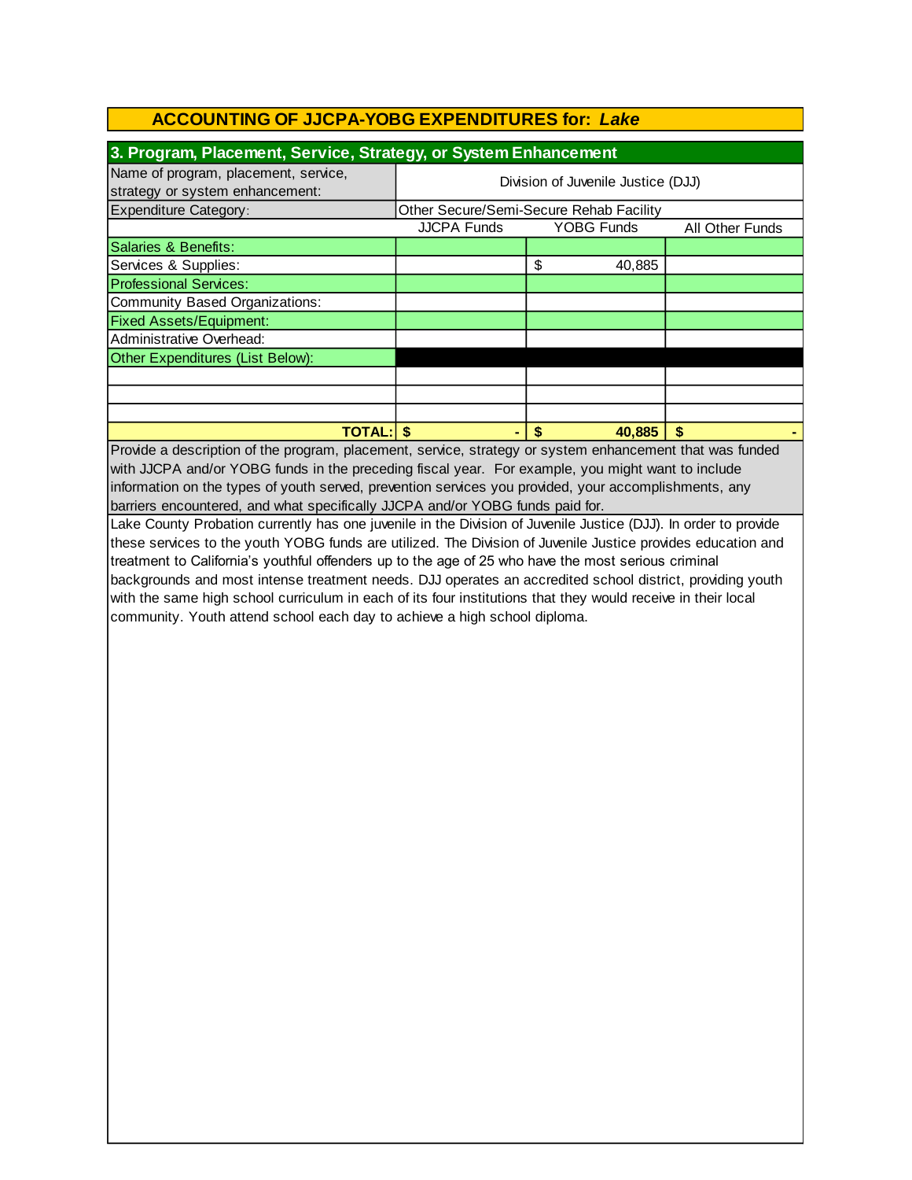| 3. Program, Placement, Service, Strategy, or System Enhancement         |                                    |                                         |                 |  |  |
|-------------------------------------------------------------------------|------------------------------------|-----------------------------------------|-----------------|--|--|
| Name of program, placement, service,<br>strategy or system enhancement: | Division of Juvenile Justice (DJJ) |                                         |                 |  |  |
| <b>Expenditure Category:</b>                                            |                                    | Other Secure/Semi-Secure Rehab Facility |                 |  |  |
|                                                                         | <b>JJCPA Funds</b>                 | <b>YOBG Funds</b>                       | All Other Funds |  |  |
| Salaries & Benefits:                                                    |                                    |                                         |                 |  |  |
| Services & Supplies:                                                    |                                    | \$<br>40.885                            |                 |  |  |
| <b>Professional Services:</b>                                           |                                    |                                         |                 |  |  |
| Community Based Organizations:                                          |                                    |                                         |                 |  |  |
| <b>Fixed Assets/Equipment:</b>                                          |                                    |                                         |                 |  |  |
| Administrative Overhead:                                                |                                    |                                         |                 |  |  |
| Other Expenditures (List Below):                                        |                                    |                                         |                 |  |  |
|                                                                         |                                    |                                         |                 |  |  |
|                                                                         |                                    |                                         |                 |  |  |
|                                                                         |                                    |                                         |                 |  |  |
| <b>TOTAL:</b>                                                           |                                    | 40.885<br>S                             | S               |  |  |

barriers encountered, and what specifically JJCPA and/or YOBG funds paid for. information on the types of youth served, prevention services you provided, your accomplishments, any Provide a description of the program, placement, service, strategy or system enhancement that was funded with JJCPA and/or YOBG funds in the preceding fiscal year. For example, you might want to include

Lake County Probation currently has one juvenile in the Division of Juvenile Justice (DJJ). In order to provide these services to the youth YOBG funds are utilized. The Division of Juvenile Justice provides education and treatment to California's youthful offenders up to the age of 25 who have the most serious criminal backgrounds and most intense treatment needs. DJJ operates an accredited school district, providing youth with the same high school curriculum in each of its four institutions that they would receive in their local community. Youth attend school each day to achieve a high school diploma.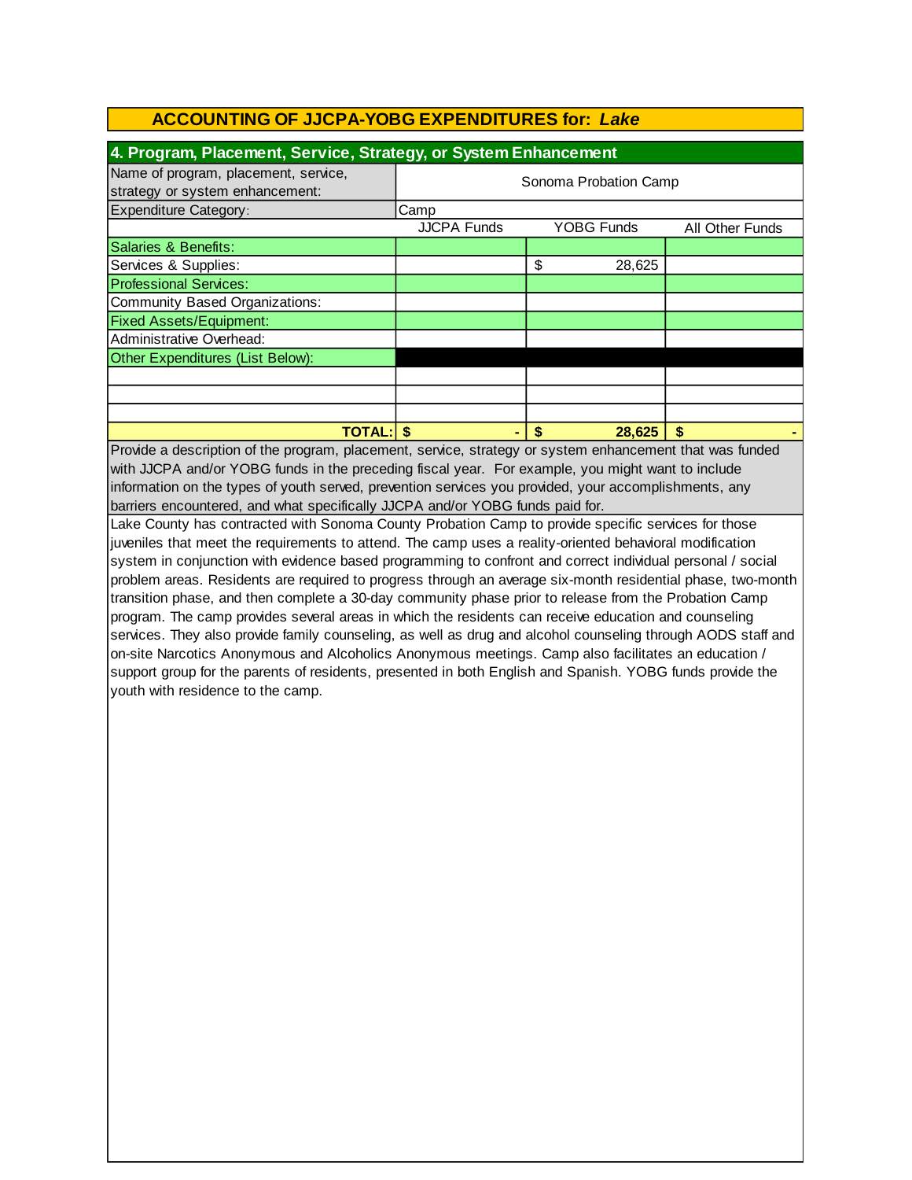| 4. Program, Placement, Service, Strategy, or System Enhancement         |                       |                   |                        |  |  |
|-------------------------------------------------------------------------|-----------------------|-------------------|------------------------|--|--|
| Name of program, placement, service,<br>strategy or system enhancement: | Sonoma Probation Camp |                   |                        |  |  |
| <b>Expenditure Category:</b>                                            | Camp                  |                   |                        |  |  |
|                                                                         | <b>JJCPA Funds</b>    | <b>YOBG Funds</b> | <b>All Other Funds</b> |  |  |
| Salaries & Benefits:                                                    |                       |                   |                        |  |  |
| Services & Supplies:                                                    |                       | \$<br>28,625      |                        |  |  |
| <b>Professional Services:</b>                                           |                       |                   |                        |  |  |
| Community Based Organizations:                                          |                       |                   |                        |  |  |
| <b>Fixed Assets/Equipment:</b>                                          |                       |                   |                        |  |  |
| Administrative Overhead:                                                |                       |                   |                        |  |  |
| Other Expenditures (List Below):                                        |                       |                   |                        |  |  |
|                                                                         |                       |                   |                        |  |  |
|                                                                         |                       |                   |                        |  |  |
|                                                                         |                       |                   |                        |  |  |
| <b>TOTAL: S</b>                                                         |                       | 28.625<br>S       | S                      |  |  |

Provide a description of the program, placement, service, strategy or system enhancement that was funded with JJCPA and/or YOBG funds in the preceding fiscal year. For example, you might want to include information on the types of youth served, prevention services you provided, your accomplishments, any barriers encountered, and what specifically JJCPA and/or YOBG funds paid for.

Lake County has contracted with Sonoma County Probation Camp to provide specific services for those juveniles that meet the requirements to attend. The camp uses a reality-oriented behavioral modification system in conjunction with evidence based programming to confront and correct individual personal / social problem areas. Residents are required to progress through an average six-month residential phase, two-month transition phase, and then complete a 30-day community phase prior to release from the Probation Camp program. The camp provides several areas in which the residents can receive education and counseling services. They also provide family counseling, as well as drug and alcohol counseling through AODS staff and on-site Narcotics Anonymous and Alcoholics Anonymous meetings. Camp also facilitates an education / support group for the parents of residents, presented in both English and Spanish. YOBG funds provide the youth with residence to the camp.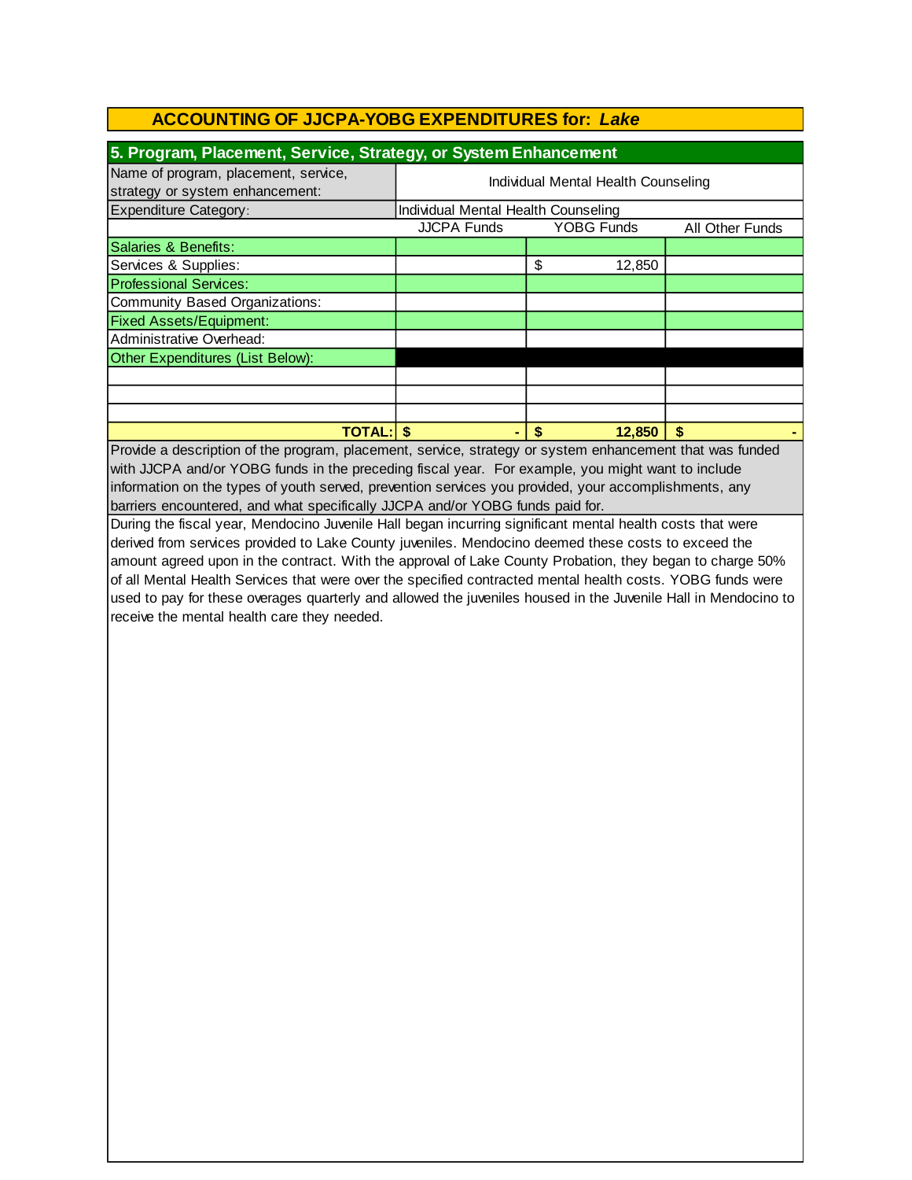| 5. Program, Placement, Service, Strategy, or System Enhancement         |                                     |                   |                        |  |  |
|-------------------------------------------------------------------------|-------------------------------------|-------------------|------------------------|--|--|
| Name of program, placement, service,<br>strategy or system enhancement: | Individual Mental Health Counseling |                   |                        |  |  |
| <b>Expenditure Category:</b>                                            | Individual Mental Health Counseling |                   |                        |  |  |
|                                                                         | <b>JJCPA Funds</b>                  | <b>YOBG Funds</b> | <b>All Other Funds</b> |  |  |
| Salaries & Benefits:                                                    |                                     |                   |                        |  |  |
| Services & Supplies:                                                    |                                     | \$<br>12,850      |                        |  |  |
| <b>Professional Services:</b>                                           |                                     |                   |                        |  |  |
| Community Based Organizations:                                          |                                     |                   |                        |  |  |
| <b>Fixed Assets/Equipment:</b>                                          |                                     |                   |                        |  |  |
| Administrative Overhead:                                                |                                     |                   |                        |  |  |
| Other Expenditures (List Below):                                        |                                     |                   |                        |  |  |
|                                                                         |                                     |                   |                        |  |  |
|                                                                         |                                     |                   |                        |  |  |
|                                                                         |                                     |                   |                        |  |  |
| <b>TOTAL: S</b>                                                         |                                     | 12,850            | \$                     |  |  |

Provide a description of the program, placement, service, strategy or system enhancement that was funded with JJCPA and/or YOBG funds in the preceding fiscal year. For example, you might want to include information on the types of youth served, prevention services you provided, your accomplishments, any barriers encountered, and what specifically JJCPA and/or YOBG funds paid for.

During the fiscal year, Mendocino Juvenile Hall began incurring significant mental health costs that were derived from services provided to Lake County juveniles. Mendocino deemed these costs to exceed the amount agreed upon in the contract. With the approval of Lake County Probation, they began to charge 50% of all Mental Health Services that were over the specified contracted mental health costs. YOBG funds were used to pay for these overages quarterly and allowed the juveniles housed in the Juvenile Hall in Mendocino to receive the mental health care they needed.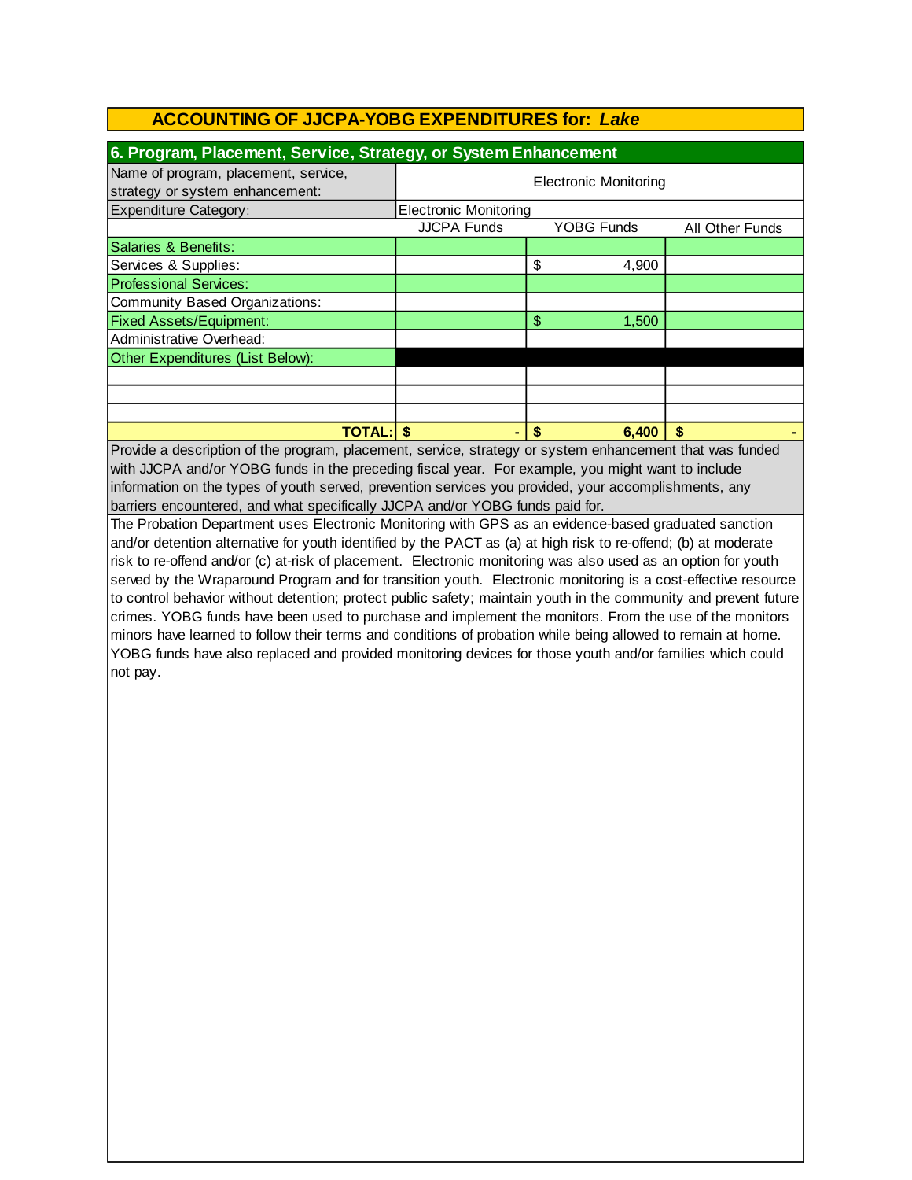| 6. Program, Placement, Service, Strategy, or System Enhancement         |                              |    |                   |                 |  |  |  |
|-------------------------------------------------------------------------|------------------------------|----|-------------------|-----------------|--|--|--|
| Name of program, placement, service,<br>strategy or system enhancement: | <b>Electronic Monitoring</b> |    |                   |                 |  |  |  |
| <b>Expenditure Category:</b>                                            | <b>Electronic Monitoring</b> |    |                   |                 |  |  |  |
|                                                                         | <b>JJCPA Funds</b>           |    | <b>YOBG Funds</b> | All Other Funds |  |  |  |
| Salaries & Benefits:                                                    |                              |    |                   |                 |  |  |  |
| Services & Supplies:                                                    |                              | \$ | 4,900             |                 |  |  |  |
| <b>Professional Services:</b>                                           |                              |    |                   |                 |  |  |  |
| Community Based Organizations:                                          |                              |    |                   |                 |  |  |  |
| <b>Fixed Assets/Equipment:</b>                                          |                              | \$ | 1,500             |                 |  |  |  |
| Administrative Overhead:                                                |                              |    |                   |                 |  |  |  |
| Other Expenditures (List Below):                                        |                              |    |                   |                 |  |  |  |
|                                                                         |                              |    |                   |                 |  |  |  |
|                                                                         |                              |    |                   |                 |  |  |  |
|                                                                         |                              |    |                   |                 |  |  |  |
| <b>TOTAL: S</b>                                                         |                              |    | 6,400             |                 |  |  |  |

Provide a description of the program, placement, service, strategy or system enhancement that was funded with JJCPA and/or YOBG funds in the preceding fiscal year. For example, you might want to include information on the types of youth served, prevention services you provided, your accomplishments, any barriers encountered, and what specifically JJCPA and/or YOBG funds paid for.

The Probation Department uses Electronic Monitoring with GPS as an evidence-based graduated sanction and/or detention alternative for youth identified by the PACT as (a) at high risk to re-offend; (b) at moderate risk to re-offend and/or (c) at-risk of placement. Electronic monitoring was also used as an option for youth served by the Wraparound Program and for transition youth. Electronic monitoring is a cost-effective resource to control behavior without detention; protect public safety; maintain youth in the community and prevent future crimes. YOBG funds have been used to purchase and implement the monitors. From the use of the monitors minors have learned to follow their terms and conditions of probation while being allowed to remain at home. YOBG funds have also replaced and provided monitoring devices for those youth and/or families which could not pay.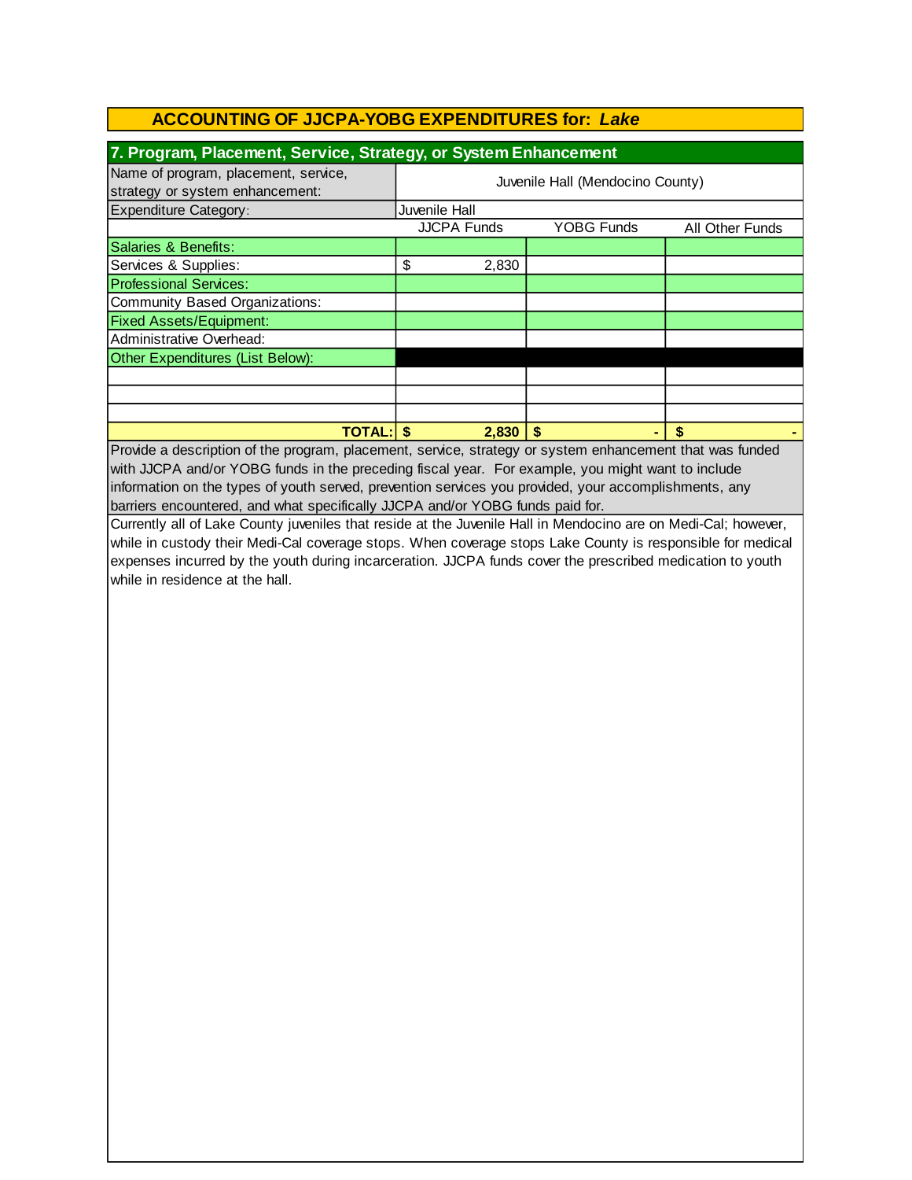| 7. Program, Placement, Service, Strategy, or System Enhancement         |                                  |                   |                 |  |  |  |  |  |
|-------------------------------------------------------------------------|----------------------------------|-------------------|-----------------|--|--|--|--|--|
| Name of program, placement, service,<br>strategy or system enhancement: | Juvenile Hall (Mendocino County) |                   |                 |  |  |  |  |  |
| <b>Expenditure Category:</b>                                            | Juvenile Hall                    |                   |                 |  |  |  |  |  |
|                                                                         | <b>JJCPA Funds</b>               | <b>YOBG Funds</b> | All Other Funds |  |  |  |  |  |
| Salaries & Benefits:                                                    |                                  |                   |                 |  |  |  |  |  |
| Services & Supplies:                                                    | \$<br>2,830                      |                   |                 |  |  |  |  |  |
| <b>Professional Services:</b>                                           |                                  |                   |                 |  |  |  |  |  |
| Community Based Organizations:                                          |                                  |                   |                 |  |  |  |  |  |
| <b>Fixed Assets/Equipment:</b>                                          |                                  |                   |                 |  |  |  |  |  |
| Administrative Overhead:                                                |                                  |                   |                 |  |  |  |  |  |
| Other Expenditures (List Below):                                        |                                  |                   |                 |  |  |  |  |  |
|                                                                         |                                  |                   |                 |  |  |  |  |  |
|                                                                         |                                  |                   |                 |  |  |  |  |  |
|                                                                         |                                  |                   |                 |  |  |  |  |  |
| <b>TOTAL: S</b>                                                         |                                  | 2,830             |                 |  |  |  |  |  |

Provide a description of the program, placement, service, strategy or system enhancement that was funded with JJCPA and/or YOBG funds in the preceding fiscal year. For example, you might want to include information on the types of youth served, prevention services you provided, your accomplishments, any barriers encountered, and what specifically JJCPA and/or YOBG funds paid for.

Currently all of Lake County juveniles that reside at the Juvenile Hall in Mendocino are on Medi-Cal; however, while in custody their Medi-Cal coverage stops. When coverage stops Lake County is responsible for medical expenses incurred by the youth during incarceration. JJCPA funds cover the prescribed medication to youth while in residence at the hall.